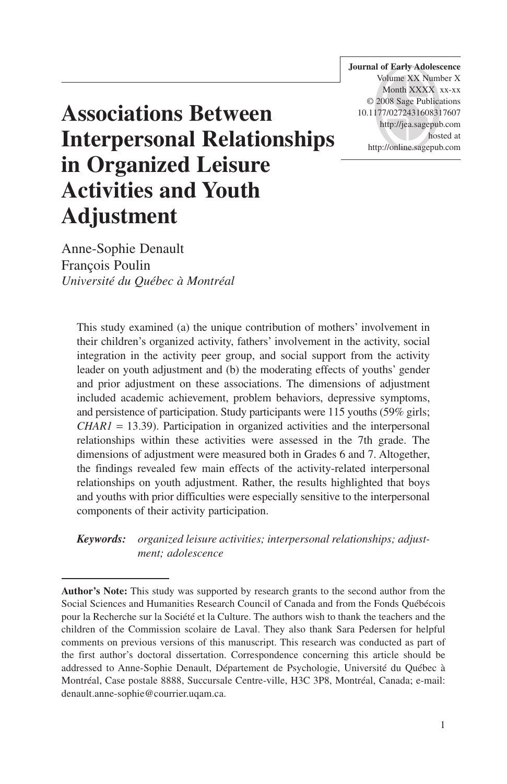**Journal of Early Adolescence** Volume XX Number X Month XXXX xx-xx © 2008 Sage Publications 10.1177/0272431608317607 http://jea.sagepub.com hosted at http://online.sagepub.com

# **Associations Between Interpersonal Relationships in Organized Leisure Activities and Youth Adjustment**

Anne-Sophie Denault François Poulin *Université du Québec à Montréal*

This study examined (a) the unique contribution of mothers' involvement in their children's organized activity, fathers' involvement in the activity, social integration in the activity peer group, and social support from the activity leader on youth adjustment and (b) the moderating effects of youths' gender and prior adjustment on these associations. The dimensions of adjustment included academic achievement, problem behaviors, depressive symptoms, and persistence of participation. Study participants were 115 youths (59% girls; *CHAR1* = 13.39). Participation in organized activities and the interpersonal relationships within these activities were assessed in the 7th grade. The dimensions of adjustment were measured both in Grades 6 and 7. Altogether, the findings revealed few main effects of the activity-related interpersonal relationships on youth adjustment. Rather, the results highlighted that boys and youths with prior difficulties were especially sensitive to the interpersonal components of their activity participation.

*Keywords: organized leisure activities; interpersonal relationships; adjustment; adolescence*

**Author's Note:** This study was supported by research grants to the second author from the Social Sciences and Humanities Research Council of Canada and from the Fonds Québécois pour la Recherche sur la Société et la Culture. The authors wish to thank the teachers and the children of the Commission scolaire de Laval. They also thank Sara Pedersen for helpful comments on previous versions of this manuscript. This research was conducted as part of the first author's doctoral dissertation. Correspondence concerning this article should be addressed to Anne-Sophie Denault, Département de Psychologie, Université du Québec à Montréal, Case postale 8888, Succursale Centre-ville, H3C 3P8, Montréal, Canada; e-mail: denault.anne-sophie@courrier.uqam.ca.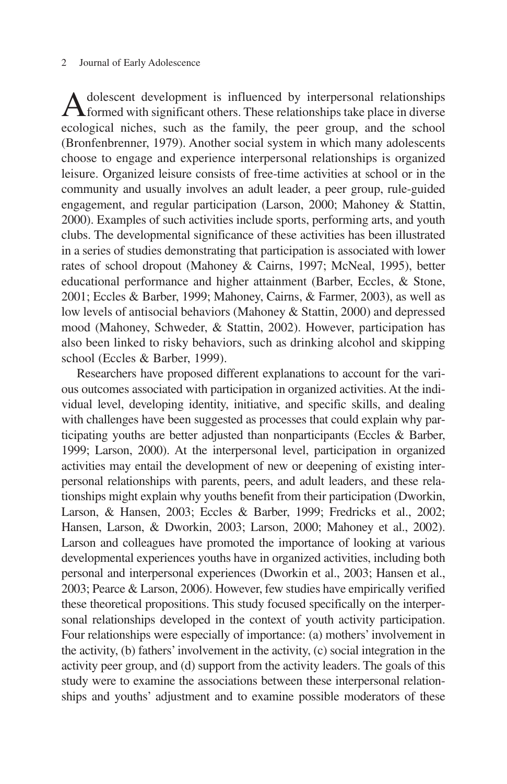#### 2 Journal of Early Adolescence

Adolescent development is influenced by interpersonal relationships  $\Lambda$  formed with significant others. These relationships take place in diverse ecological niches, such as the family, the peer group, and the school (Bronfenbrenner, 1979). Another social system in which many adolescents choose to engage and experience interpersonal relationships is organized leisure. Organized leisure consists of free-time activities at school or in the community and usually involves an adult leader, a peer group, rule-guided engagement, and regular participation (Larson, 2000; Mahoney & Stattin, 2000). Examples of such activities include sports, performing arts, and youth clubs. The developmental significance of these activities has been illustrated in a series of studies demonstrating that participation is associated with lower rates of school dropout (Mahoney & Cairns, 1997; McNeal, 1995), better educational performance and higher attainment (Barber, Eccles, & Stone, 2001; Eccles & Barber, 1999; Mahoney, Cairns, & Farmer, 2003), as well as low levels of antisocial behaviors (Mahoney & Stattin, 2000) and depressed mood (Mahoney, Schweder, & Stattin, 2002). However, participation has also been linked to risky behaviors, such as drinking alcohol and skipping school (Eccles & Barber, 1999).

Researchers have proposed different explanations to account for the various outcomes associated with participation in organized activities. At the individual level, developing identity, initiative, and specific skills, and dealing with challenges have been suggested as processes that could explain why participating youths are better adjusted than nonparticipants (Eccles & Barber, 1999; Larson, 2000). At the interpersonal level, participation in organized activities may entail the development of new or deepening of existing interpersonal relationships with parents, peers, and adult leaders, and these relationships might explain why youths benefit from their participation (Dworkin, Larson, & Hansen, 2003; Eccles & Barber, 1999; Fredricks et al., 2002; Hansen, Larson, & Dworkin, 2003; Larson, 2000; Mahoney et al., 2002). Larson and colleagues have promoted the importance of looking at various developmental experiences youths have in organized activities, including both personal and interpersonal experiences (Dworkin et al., 2003; Hansen et al., 2003; Pearce & Larson, 2006). However, few studies have empirically verified these theoretical propositions. This study focused specifically on the interpersonal relationships developed in the context of youth activity participation. Four relationships were especially of importance: (a) mothers' involvement in the activity, (b) fathers' involvement in the activity, (c) social integration in the activity peer group, and (d) support from the activity leaders. The goals of this study were to examine the associations between these interpersonal relationships and youths' adjustment and to examine possible moderators of these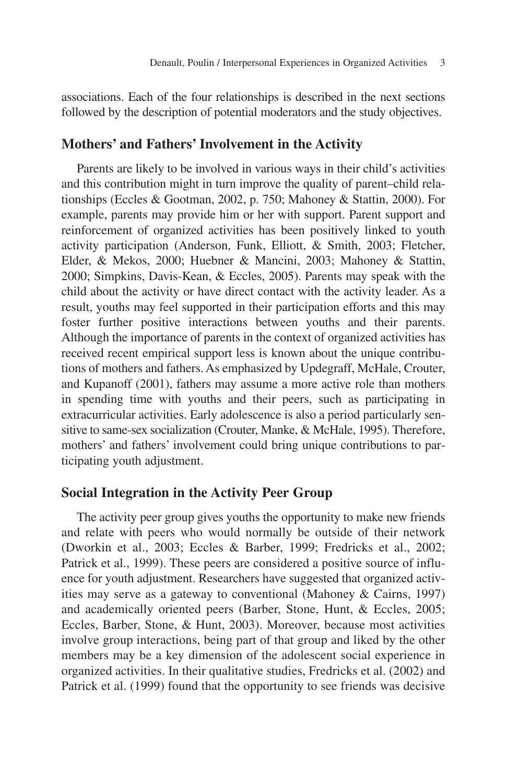associations. Each of the four relationships is described in the next sections followed by the description of potential moderators and the study objectives.

## **Mothers' and Fathers' Involvement in the Activity**

Parents are likely to be involved in various ways in their child's activities and this contribution might in turn improve the quality of parent–child relationships (Eccles & Gootman, 2002, p. 750; Mahoney & Stattin, 2000). For example, parents may provide him or her with support. Parent support and reinforcement of organized activities has been positively linked to youth activity participation (Anderson, Funk, Elliott, & Smith, 2003; Fletcher, Elder, & Mekos, 2000; Huebner & Mancini, 2003; Mahoney & Stattin, 2000; Simpkins, Davis-Kean, & Eccles, 2005). Parents may speak with the child about the activity or have direct contact with the activity leader. As a result, youths may feel supported in their participation efforts and this may foster further positive interactions between youths and their parents. Although the importance of parents in the context of organized activities has received recent empirical support less is known about the unique contributions of mothers and fathers. As emphasized by Updegraff, McHale, Crouter, and Kupanoff (2001), fathers may assume a more active role than mothers in spending time with youths and their peers, such as participating in extracurricular activities. Early adolescence is also a period particularly sensitive to same-sex socialization (Crouter, Manke, & McHale, 1995). Therefore, mothers' and fathers' involvement could bring unique contributions to participating youth adjustment.

## **Social Integration in the Activity Peer Group**

The activity peer group gives youths the opportunity to make new friends and relate with peers who would normally be outside of their network (Dworkin et al., 2003; Eccles & Barber, 1999; Fredricks et al., 2002; Patrick et al., 1999). These peers are considered a positive source of influence for youth adjustment. Researchers have suggested that organized activities may serve as a gateway to conventional (Mahoney & Cairns, 1997) and academically oriented peers (Barber, Stone, Hunt, & Eccles, 2005; Eccles, Barber, Stone, & Hunt, 2003). Moreover, because most activities involve group interactions, being part of that group and liked by the other members may be a key dimension of the adolescent social experience in organized activities. In their qualitative studies, Fredricks et al. (2002) and Patrick et al. (1999) found that the opportunity to see friends was decisive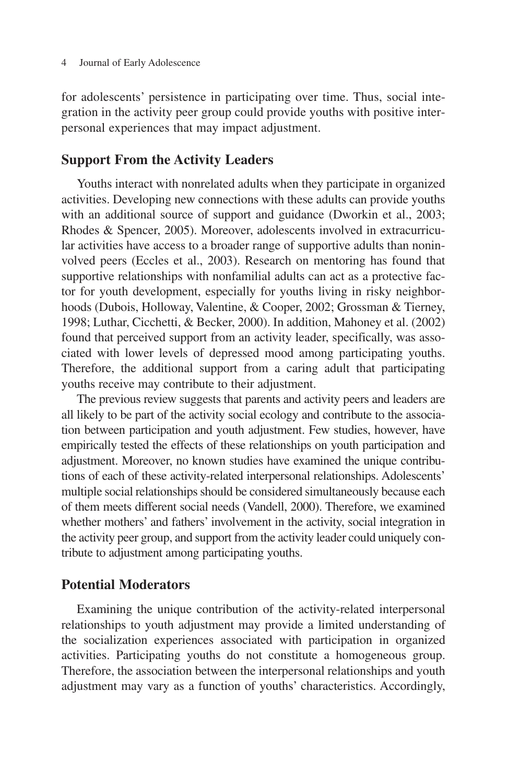for adolescents' persistence in participating over time. Thus, social integration in the activity peer group could provide youths with positive interpersonal experiences that may impact adjustment.

#### **Support From the Activity Leaders**

Youths interact with nonrelated adults when they participate in organized activities. Developing new connections with these adults can provide youths with an additional source of support and guidance (Dworkin et al., 2003; Rhodes & Spencer, 2005). Moreover, adolescents involved in extracurricular activities have access to a broader range of supportive adults than noninvolved peers (Eccles et al., 2003). Research on mentoring has found that supportive relationships with nonfamilial adults can act as a protective factor for youth development, especially for youths living in risky neighborhoods (Dubois, Holloway, Valentine, & Cooper, 2002; Grossman & Tierney, 1998; Luthar, Cicchetti, & Becker, 2000). In addition, Mahoney et al. (2002) found that perceived support from an activity leader, specifically, was associated with lower levels of depressed mood among participating youths. Therefore, the additional support from a caring adult that participating youths receive may contribute to their adjustment.

The previous review suggests that parents and activity peers and leaders are all likely to be part of the activity social ecology and contribute to the association between participation and youth adjustment. Few studies, however, have empirically tested the effects of these relationships on youth participation and adjustment. Moreover, no known studies have examined the unique contributions of each of these activity-related interpersonal relationships. Adolescents' multiple social relationships should be considered simultaneously because each of them meets different social needs (Vandell, 2000). Therefore, we examined whether mothers' and fathers' involvement in the activity, social integration in the activity peer group, and support from the activity leader could uniquely contribute to adjustment among participating youths.

#### **Potential Moderators**

Examining the unique contribution of the activity-related interpersonal relationships to youth adjustment may provide a limited understanding of the socialization experiences associated with participation in organized activities. Participating youths do not constitute a homogeneous group. Therefore, the association between the interpersonal relationships and youth adjustment may vary as a function of youths' characteristics. Accordingly,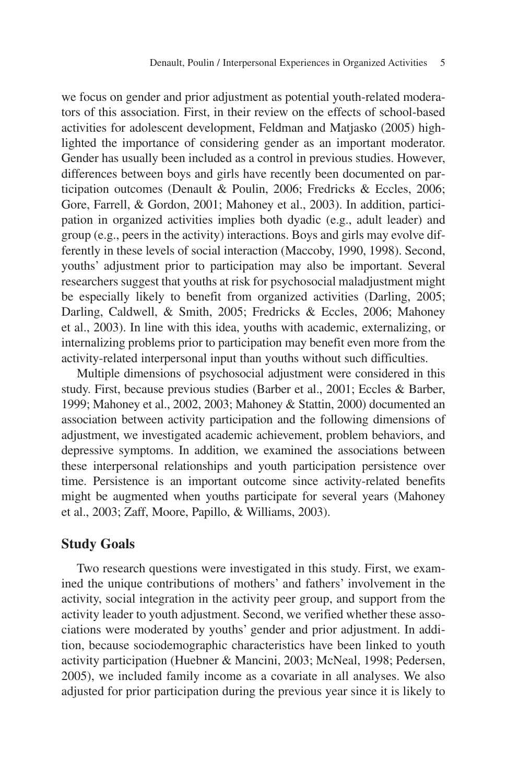we focus on gender and prior adjustment as potential youth-related moderators of this association. First, in their review on the effects of school-based activities for adolescent development, Feldman and Matjasko (2005) highlighted the importance of considering gender as an important moderator. Gender has usually been included as a control in previous studies. However, differences between boys and girls have recently been documented on participation outcomes (Denault & Poulin, 2006; Fredricks & Eccles, 2006; Gore, Farrell, & Gordon, 2001; Mahoney et al., 2003). In addition, participation in organized activities implies both dyadic (e.g., adult leader) and group (e.g., peers in the activity) interactions. Boys and girls may evolve differently in these levels of social interaction (Maccoby, 1990, 1998). Second, youths' adjustment prior to participation may also be important. Several researchers suggest that youths at risk for psychosocial maladjustment might be especially likely to benefit from organized activities (Darling, 2005; Darling, Caldwell, & Smith, 2005; Fredricks & Eccles, 2006; Mahoney et al., 2003). In line with this idea, youths with academic, externalizing, or internalizing problems prior to participation may benefit even more from the activity-related interpersonal input than youths without such difficulties.

Multiple dimensions of psychosocial adjustment were considered in this study. First, because previous studies (Barber et al., 2001; Eccles & Barber, 1999; Mahoney et al., 2002, 2003; Mahoney & Stattin, 2000) documented an association between activity participation and the following dimensions of adjustment, we investigated academic achievement, problem behaviors, and depressive symptoms. In addition, we examined the associations between these interpersonal relationships and youth participation persistence over time. Persistence is an important outcome since activity-related benefits might be augmented when youths participate for several years (Mahoney et al., 2003; Zaff, Moore, Papillo, & Williams, 2003).

#### **Study Goals**

Two research questions were investigated in this study. First, we examined the unique contributions of mothers' and fathers' involvement in the activity, social integration in the activity peer group, and support from the activity leader to youth adjustment. Second, we verified whether these associations were moderated by youths' gender and prior adjustment. In addition, because sociodemographic characteristics have been linked to youth activity participation (Huebner & Mancini, 2003; McNeal, 1998; Pedersen, 2005), we included family income as a covariate in all analyses. We also adjusted for prior participation during the previous year since it is likely to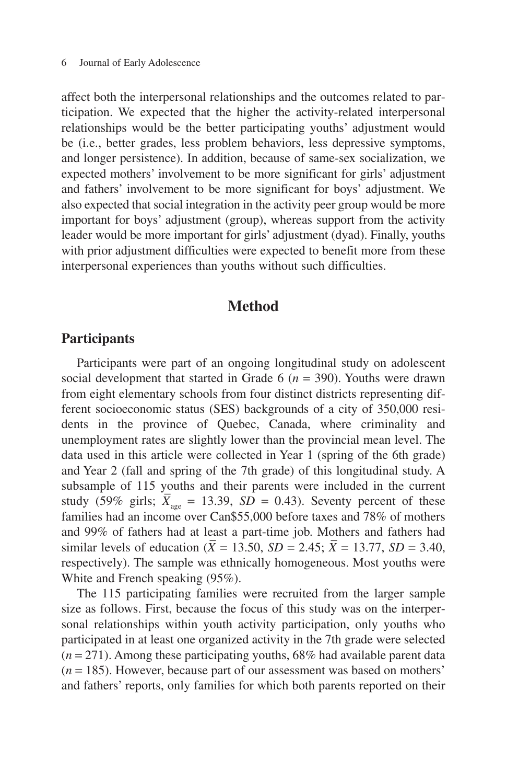affect both the interpersonal relationships and the outcomes related to participation. We expected that the higher the activity-related interpersonal relationships would be the better participating youths' adjustment would be (i.e., better grades, less problem behaviors, less depressive symptoms, and longer persistence). In addition, because of same-sex socialization, we expected mothers' involvement to be more significant for girls' adjustment and fathers' involvement to be more significant for boys' adjustment. We also expected that social integration in the activity peer group would be more important for boys' adjustment (group), whereas support from the activity leader would be more important for girls' adjustment (dyad). Finally, youths with prior adjustment difficulties were expected to benefit more from these interpersonal experiences than youths without such difficulties.

# **Method**

#### **Participants**

Participants were part of an ongoing longitudinal study on adolescent social development that started in Grade  $6 (n = 390)$ . Youths were drawn from eight elementary schools from four distinct districts representing different socioeconomic status (SES) backgrounds of a city of 350,000 residents in the province of Quebec, Canada, where criminality and unemployment rates are slightly lower than the provincial mean level. The data used in this article were collected in Year 1 (spring of the 6th grade) and Year 2 (fall and spring of the 7th grade) of this longitudinal study. A subsample of 115 youths and their parents were included in the current study (59% girls;  $X_{\text{age}} = 13.39$ ,  $SD = 0.43$ ). Seventy percent of these families had an income over Can\$55,000 before taxes and 78% of mothers and 99% of fathers had at least a part-time job. Mothers and fathers had \_ \_ similar levels of education  $(X = 13.50, SD = 2.45; X = 13.77, SD = 3.40,$ respectively). The sample was ethnically homogeneous. Most youths were White and French speaking (95%).

The 115 participating families were recruited from the larger sample size as follows. First, because the focus of this study was on the interpersonal relationships within youth activity participation, only youths who participated in at least one organized activity in the 7th grade were selected  $(n = 271)$ . Among these participating youths, 68% had available parent data  $(n = 185)$ . However, because part of our assessment was based on mothers' and fathers' reports, only families for which both parents reported on their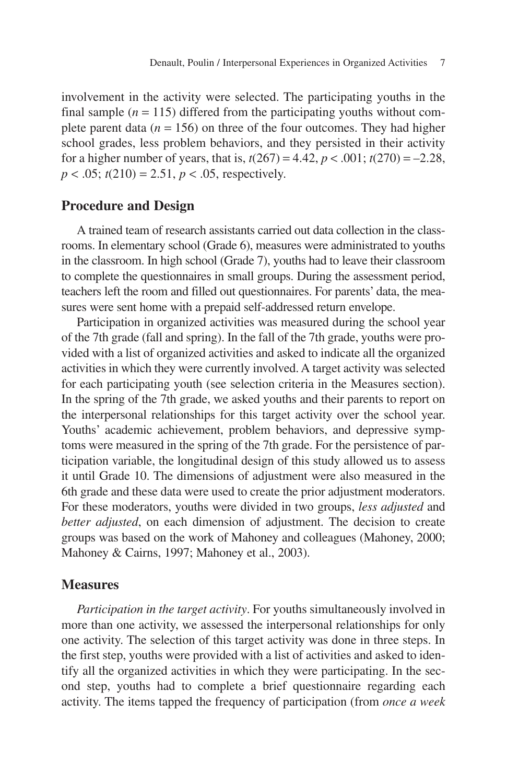involvement in the activity were selected. The participating youths in the final sample  $(n = 115)$  differed from the participating youths without complete parent data  $(n = 156)$  on three of the four outcomes. They had higher school grades, less problem behaviors, and they persisted in their activity for a higher number of years, that is,  $t(267) = 4.42$ ,  $p < .001$ ;  $t(270) = -2.28$ ,  $p < .05$ ;  $t(210) = 2.51$ ,  $p < .05$ , respectively.

#### **Procedure and Design**

A trained team of research assistants carried out data collection in the classrooms. In elementary school (Grade 6), measures were administrated to youths in the classroom. In high school (Grade 7), youths had to leave their classroom to complete the questionnaires in small groups. During the assessment period, teachers left the room and filled out questionnaires. For parents' data, the measures were sent home with a prepaid self-addressed return envelope.

Participation in organized activities was measured during the school year of the 7th grade (fall and spring). In the fall of the 7th grade, youths were provided with a list of organized activities and asked to indicate all the organized activities in which they were currently involved. A target activity was selected for each participating youth (see selection criteria in the Measures section). In the spring of the 7th grade, we asked youths and their parents to report on the interpersonal relationships for this target activity over the school year. Youths' academic achievement, problem behaviors, and depressive symptoms were measured in the spring of the 7th grade. For the persistence of participation variable, the longitudinal design of this study allowed us to assess it until Grade 10. The dimensions of adjustment were also measured in the 6th grade and these data were used to create the prior adjustment moderators. For these moderators, youths were divided in two groups, *less adjusted* and *better adjusted*, on each dimension of adjustment. The decision to create groups was based on the work of Mahoney and colleagues (Mahoney, 2000; Mahoney & Cairns, 1997; Mahoney et al., 2003).

#### **Measures**

*Participation in the target activity*. For youths simultaneously involved in more than one activity, we assessed the interpersonal relationships for only one activity. The selection of this target activity was done in three steps. In the first step, youths were provided with a list of activities and asked to identify all the organized activities in which they were participating. In the second step, youths had to complete a brief questionnaire regarding each activity. The items tapped the frequency of participation (from *once a week*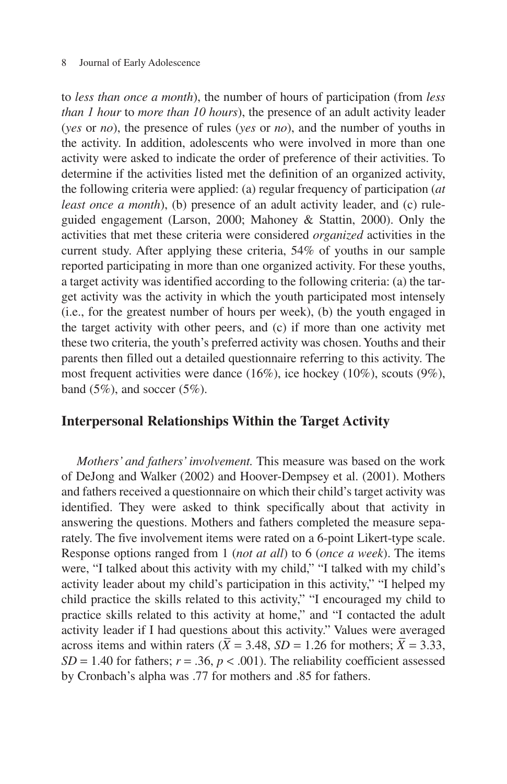#### 8 Journal of Early Adolescence

to *less than once a month*), the number of hours of participation (from *less than 1 hour* to *more than 10 hours*), the presence of an adult activity leader (*yes* or *no*), the presence of rules (*yes* or *no*), and the number of youths in the activity. In addition, adolescents who were involved in more than one activity were asked to indicate the order of preference of their activities. To determine if the activities listed met the definition of an organized activity, the following criteria were applied: (a) regular frequency of participation (*at least once a month*), (b) presence of an adult activity leader, and (c) ruleguided engagement (Larson, 2000; Mahoney & Stattin, 2000). Only the activities that met these criteria were considered *organized* activities in the current study. After applying these criteria, 54% of youths in our sample reported participating in more than one organized activity. For these youths, a target activity was identified according to the following criteria: (a) the target activity was the activity in which the youth participated most intensely (i.e., for the greatest number of hours per week), (b) the youth engaged in the target activity with other peers, and (c) if more than one activity met these two criteria, the youth's preferred activity was chosen. Youths and their parents then filled out a detailed questionnaire referring to this activity. The most frequent activities were dance (16%), ice hockey (10%), scouts (9%), band  $(5\%)$ , and soccer  $(5\%)$ .

#### **Interpersonal Relationships Within the Target Activity**

*Mothers' and fathers' involvement.* This measure was based on the work of DeJong and Walker (2002) and Hoover-Dempsey et al. (2001). Mothers and fathers received a questionnaire on which their child's target activity was identified. They were asked to think specifically about that activity in answering the questions. Mothers and fathers completed the measure separately. The five involvement items were rated on a 6-point Likert-type scale. Response options ranged from 1 (*not at all*) to 6 (*once a week*). The items were, "I talked about this activity with my child," "I talked with my child's activity leader about my child's participation in this activity," "I helped my child practice the skills related to this activity," "I encouraged my child to practice skills related to this activity at home," and "I contacted the adult activity leader if I had questions about this activity." Values were averaged across items and within raters  $(X = 3.48, SD = 1.26$  for mothers;  $X = 3.33$ ,  $SD = 1.40$  for fathers;  $r = .36$ ,  $p < .001$ ). The reliability coefficient assessed by Cronbach's alpha was .77 for mothers and .85 for fathers.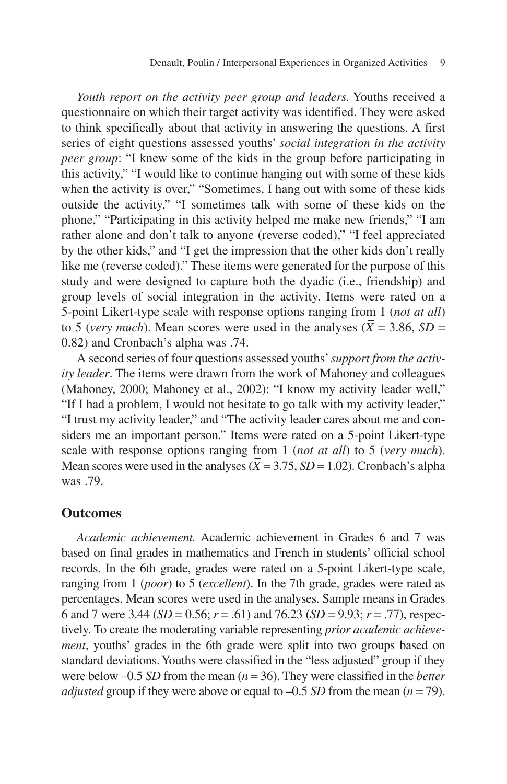*Youth report on the activity peer group and leaders.* Youths received a questionnaire on which their target activity was identified. They were asked to think specifically about that activity in answering the questions. A first series of eight questions assessed youths' *social integration in the activity peer group*: "I knew some of the kids in the group before participating in this activity," "I would like to continue hanging out with some of these kids when the activity is over," "Sometimes, I hang out with some of these kids outside the activity," "I sometimes talk with some of these kids on the phone," "Participating in this activity helped me make new friends," "I am rather alone and don't talk to anyone (reverse coded)," "I feel appreciated by the other kids," and "I get the impression that the other kids don't really like me (reverse coded)." These items were generated for the purpose of this study and were designed to capture both the dyadic (i.e., friendship) and group levels of social integration in the activity. Items were rated on a 5-point Likert-type scale with response options ranging from 1 (*not at all*) \_ to 5 (*very much*). Mean scores were used in the analyses  $(X = 3.86, SD =$ 0.82) and Cronbach's alpha was .74.

A second series of four questions assessed youths'*support from the activity leader*. The items were drawn from the work of Mahoney and colleagues (Mahoney, 2000; Mahoney et al., 2002): "I know my activity leader well," "If I had a problem, I would not hesitate to go talk with my activity leader," "I trust my activity leader," and "The activity leader cares about me and considers me an important person." Items were rated on a 5-point Likert-type scale with response options ranging from 1 (*not at all*) to 5 (*very much*). \_ Mean scores were used in the analyses  $(X = 3.75, SD = 1.02)$ . Cronbach's alpha was .79.

#### **Outcomes**

*Academic achievement.* Academic achievement in Grades 6 and 7 was based on final grades in mathematics and French in students' official school records. In the 6th grade, grades were rated on a 5-point Likert-type scale, ranging from 1 (*poor*) to 5 (*excellent*). In the 7th grade, grades were rated as percentages. Mean scores were used in the analyses. Sample means in Grades 6 and 7 were 3.44 (*SD* = 0.56; *r* = .61) and 76.23 (*SD* = 9.93; *r* = .77), respectively. To create the moderating variable representing *prior academic achievement*, youths' grades in the 6th grade were split into two groups based on standard deviations. Youths were classified in the "less adjusted" group if they were below –0.5 *SD* from the mean (*n* = 36). They were classified in the *better adjusted* group if they were above or equal to  $-0.5$  *SD* from the mean ( $n = 79$ ).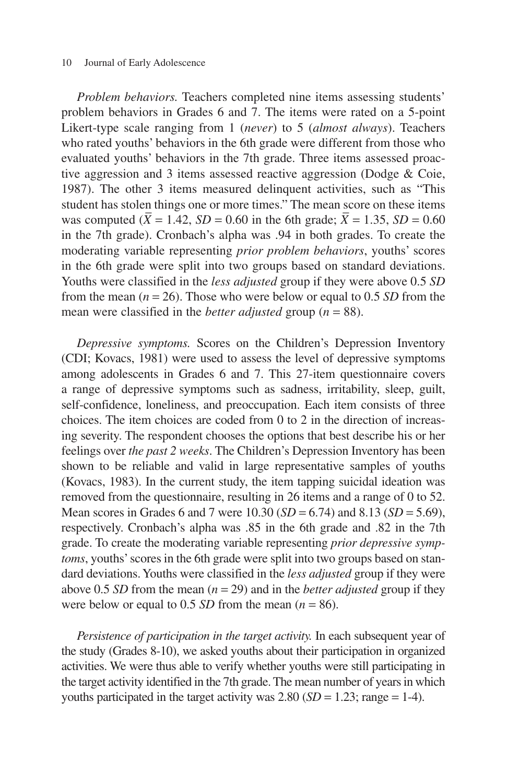#### 10 Journal of Early Adolescence

*Problem behaviors.* Teachers completed nine items assessing students' problem behaviors in Grades 6 and 7. The items were rated on a 5-point Likert-type scale ranging from 1 (*never*) to 5 (*almost always*). Teachers who rated youths' behaviors in the 6th grade were different from those who evaluated youths' behaviors in the 7th grade. Three items assessed proactive aggression and 3 items assessed reactive aggression (Dodge & Coie, 1987). The other 3 items measured delinquent activities, such as "This student has stolen things one or more times." The mean score on these items was computed (*X* = 1.42, *SD* = 0.60 in the 6th grade; *X* = 1.35, *SD* = 0.60 in the 7th grade). Cronbach's alpha was .94 in both grades. To create the moderating variable representing *prior problem behaviors*, youths' scores in the 6th grade were split into two groups based on standard deviations. Youths were classified in the *less adjusted* group if they were above 0.5 *SD* from the mean  $(n = 26)$ . Those who were below or equal to 0.5 *SD* from the mean were classified in the *better adjusted* group (*n* = 88).

*Depressive symptoms.* Scores on the Children's Depression Inventory (CDI; Kovacs, 1981) were used to assess the level of depressive symptoms among adolescents in Grades 6 and 7. This 27-item questionnaire covers a range of depressive symptoms such as sadness, irritability, sleep, guilt, self-confidence, loneliness, and preoccupation. Each item consists of three choices. The item choices are coded from 0 to 2 in the direction of increasing severity. The respondent chooses the options that best describe his or her feelings over *the past 2 weeks*. The Children's Depression Inventory has been shown to be reliable and valid in large representative samples of youths (Kovacs, 1983). In the current study, the item tapping suicidal ideation was removed from the questionnaire, resulting in 26 items and a range of 0 to 52. Mean scores in Grades 6 and 7 were 10.30 (*SD* = 6.74) and 8.13 (*SD* = 5.69), respectively. Cronbach's alpha was .85 in the 6th grade and .82 in the 7th grade. To create the moderating variable representing *prior depressive symptoms*, youths' scores in the 6th grade were split into two groups based on standard deviations. Youths were classified in the *less adjusted* group if they were above 0.5 *SD* from the mean  $(n = 29)$  and in the *better adjusted* group if they were below or equal to 0.5 *SD* from the mean  $(n = 86)$ .

*Persistence of participation in the target activity.* In each subsequent year of the study (Grades 8-10), we asked youths about their participation in organized activities. We were thus able to verify whether youths were still participating in the target activity identified in the 7th grade. The mean number of years in which youths participated in the target activity was  $2.80$  (*SD* = 1.23; range = 1-4).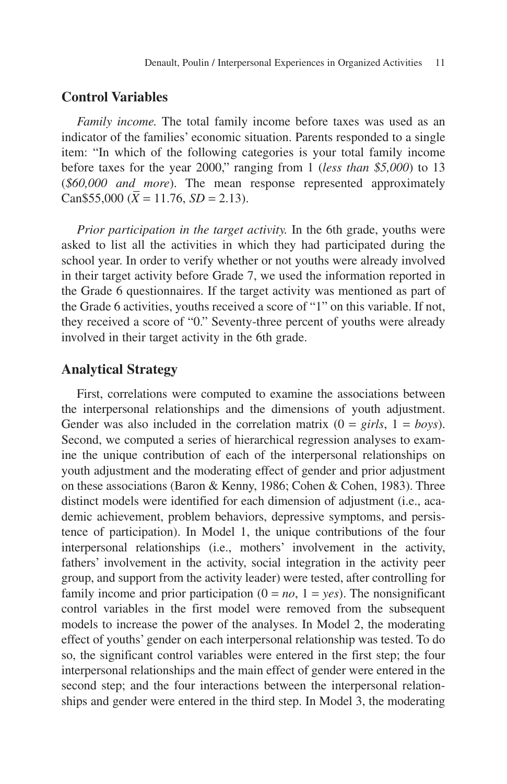#### **Control Variables**

*Family income.* The total family income before taxes was used as an indicator of the families' economic situation. Parents responded to a single item: "In which of the following categories is your total family income before taxes for the year 2000," ranging from 1 (*less than \$5,000*) to 13 (*\$60,000 and more*). The mean response represented approximately \_ Can \$55,000 ( $X = 11.76$ ,  $SD = 2.13$ ).

*Prior participation in the target activity.* In the 6th grade, youths were asked to list all the activities in which they had participated during the school year. In order to verify whether or not youths were already involved in their target activity before Grade 7, we used the information reported in the Grade 6 questionnaires. If the target activity was mentioned as part of the Grade 6 activities, youths received a score of "1" on this variable. If not, they received a score of "0." Seventy-three percent of youths were already involved in their target activity in the 6th grade.

#### **Analytical Strategy**

First, correlations were computed to examine the associations between the interpersonal relationships and the dimensions of youth adjustment. Gender was also included in the correlation matrix  $(0 = girls, 1 = boys)$ . Second, we computed a series of hierarchical regression analyses to examine the unique contribution of each of the interpersonal relationships on youth adjustment and the moderating effect of gender and prior adjustment on these associations (Baron & Kenny, 1986; Cohen & Cohen, 1983). Three distinct models were identified for each dimension of adjustment (i.e., academic achievement, problem behaviors, depressive symptoms, and persistence of participation). In Model 1, the unique contributions of the four interpersonal relationships (i.e., mothers' involvement in the activity, fathers' involvement in the activity, social integration in the activity peer group, and support from the activity leader) were tested, after controlling for family income and prior participation  $(0 = no, 1 = yes)$ . The nonsignificant control variables in the first model were removed from the subsequent models to increase the power of the analyses. In Model 2, the moderating effect of youths' gender on each interpersonal relationship was tested. To do so, the significant control variables were entered in the first step; the four interpersonal relationships and the main effect of gender were entered in the second step; and the four interactions between the interpersonal relationships and gender were entered in the third step. In Model 3, the moderating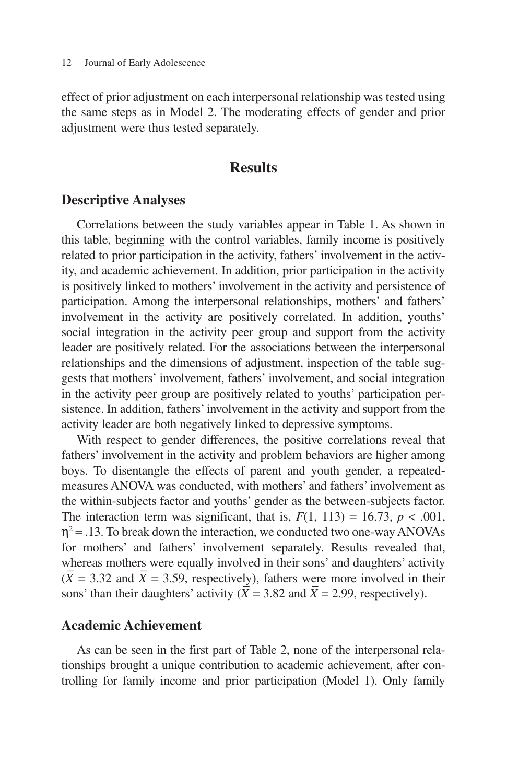effect of prior adjustment on each interpersonal relationship was tested using the same steps as in Model 2. The moderating effects of gender and prior adjustment were thus tested separately.

## **Results**

#### **Descriptive Analyses**

Correlations between the study variables appear in Table 1. As shown in this table, beginning with the control variables, family income is positively related to prior participation in the activity, fathers' involvement in the activity, and academic achievement. In addition, prior participation in the activity is positively linked to mothers' involvement in the activity and persistence of participation. Among the interpersonal relationships, mothers' and fathers' involvement in the activity are positively correlated. In addition, youths' social integration in the activity peer group and support from the activity leader are positively related. For the associations between the interpersonal relationships and the dimensions of adjustment, inspection of the table suggests that mothers' involvement, fathers' involvement, and social integration in the activity peer group are positively related to youths' participation persistence. In addition, fathers' involvement in the activity and support from the activity leader are both negatively linked to depressive symptoms.

With respect to gender differences, the positive correlations reveal that fathers' involvement in the activity and problem behaviors are higher among boys. To disentangle the effects of parent and youth gender, a repeatedmeasures ANOVA was conducted, with mothers' and fathers' involvement as the within-subjects factor and youths' gender as the between-subjects factor. The interaction term was significant, that is,  $F(1, 113) = 16.73$ ,  $p < .001$ ,  $\eta^2$  = .13. To break down the interaction, we conducted two one-way ANOVAs for mothers' and fathers' involvement separately. Results revealed that, whereas mothers were equally involved in their sons' and daughters' activity  $(X = 3.32 \text{ and } X = 3.59, \text{ respectively})$ , fathers were more involved in their sons' than their daughters' activity  $(X = 3.82 \text{ and } X = 2.99)$ , respectively).

#### **Academic Achievement**

As can be seen in the first part of Table 2, none of the interpersonal relationships brought a unique contribution to academic achievement, after controlling for family income and prior participation (Model 1). Only family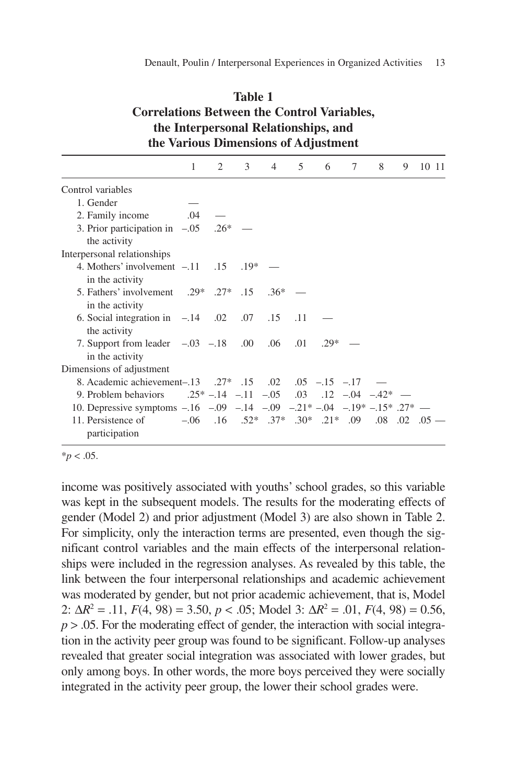| Table 1                                            |
|----------------------------------------------------|
| <b>Correlations Between the Control Variables,</b> |
| the Interpersonal Relationships, and               |
| the Various Dimensions of Adjustment               |

|                                                                    | 1   | 2                                                           | 3     | $\overline{4}$ | $5^{\circ}$ | 6     | 7 | 8 | 9 | 10 11                                                                |
|--------------------------------------------------------------------|-----|-------------------------------------------------------------|-------|----------------|-------------|-------|---|---|---|----------------------------------------------------------------------|
| Control variables                                                  |     |                                                             |       |                |             |       |   |   |   |                                                                      |
| 1. Gender                                                          |     |                                                             |       |                |             |       |   |   |   |                                                                      |
| 2. Family income                                                   | .04 |                                                             |       |                |             |       |   |   |   |                                                                      |
| 3. Prior participation in $-.05$ .26* —<br>the activity            |     |                                                             |       |                |             |       |   |   |   |                                                                      |
| Interpersonal relationships                                        |     |                                                             |       |                |             |       |   |   |   |                                                                      |
| 4. Mothers' involvement $-11$ .15<br>in the activity               |     |                                                             | $19*$ |                |             |       |   |   |   |                                                                      |
| 5. Fathers' involvement .29* .27* .15 .36*<br>in the activity      |     |                                                             |       |                |             |       |   |   |   |                                                                      |
| 6. Social integration in $-.14$ .02 .07 .15<br>the activity        |     |                                                             |       |                | .11         |       |   |   |   |                                                                      |
| 7. Support from leader $-.03$ $-.18$ $.00$<br>in the activity      |     |                                                             |       | .06            | .01         | $29*$ |   |   |   |                                                                      |
| Dimensions of adjustment                                           |     |                                                             |       |                |             |       |   |   |   |                                                                      |
| 8. Academic achievement-0.13 .27* .15 .02 .05 -15 -17              |     |                                                             |       |                |             |       |   |   |   |                                                                      |
| 9. Problem behaviors                                               |     | $.25^* - .14$ $-.11$ $-.05$ $.03$ $.12$ $-.04$ $-.42^*$ $-$ |       |                |             |       |   |   |   |                                                                      |
| 10. Depressive symptoms $-16$ -09 -14 -09 -21* -04 -19* -15* 27* - |     |                                                             |       |                |             |       |   |   |   |                                                                      |
| 11. Persistence of<br>participation                                |     |                                                             |       |                |             |       |   |   |   | $-0.06$ $16$ $.52*$ $.37*$ $.30*$ $.21*$ $.09$ $.08$ $.02$ $.05$ $-$ |

 $**p* < .05$ .

income was positively associated with youths' school grades, so this variable was kept in the subsequent models. The results for the moderating effects of gender (Model 2) and prior adjustment (Model 3) are also shown in Table 2. For simplicity, only the interaction terms are presented, even though the significant control variables and the main effects of the interpersonal relationships were included in the regression analyses. As revealed by this table, the link between the four interpersonal relationships and academic achievement was moderated by gender, but not prior academic achievement, that is, Model 2:  $\Delta R^2 = .11$ ,  $F(4, 98) = 3.50$ ,  $p < .05$ ; Model 3:  $\Delta R^2 = .01$ ,  $F(4, 98) = 0.56$ ,  $p > 0.05$ . For the moderating effect of gender, the interaction with social integration in the activity peer group was found to be significant. Follow-up analyses revealed that greater social integration was associated with lower grades, but only among boys. In other words, the more boys perceived they were socially integrated in the activity peer group, the lower their school grades were.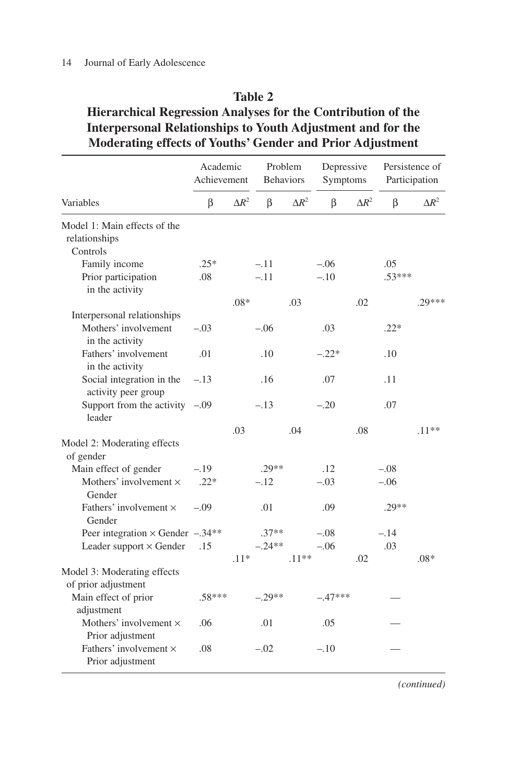#### 14 Journal of Early Adolescence

#### **Table 2**

# **Hierarchical Regression Analyses for the Contribution of the Interpersonal Relationships to Youth Adjustment and for the Moderating effects of Youths' Gender and Prior Adjustment**

|                                                                        | Academic<br>Achievement |               | Problem<br><b>Behaviors</b> |               | Depressive<br>Symptoms |               | Persistence of<br>Participation |               |
|------------------------------------------------------------------------|-------------------------|---------------|-----------------------------|---------------|------------------------|---------------|---------------------------------|---------------|
| Variables                                                              | β                       | $\Lambda R^2$ | β                           | $\Lambda R^2$ | β                      | $\Lambda R^2$ | β                               | $\Lambda R^2$ |
| Model 1: Main effects of the<br>relationships<br>Controls              |                         |               |                             |               |                        |               |                                 |               |
| Family income                                                          | $.25*$                  |               | $-.11$                      |               | $-.06$                 |               | .05                             |               |
| Prior participation<br>in the activity                                 | .08                     |               | $-.11$                      |               | $-.10$                 |               | $.53***$                        |               |
|                                                                        |                         | $.08*$        |                             | .03           |                        | .02           |                                 | $.29***$      |
| Interpersonal relationships<br>Mothers' involvement<br>in the activity | $-.03$                  |               | $-.06$                      |               | .03                    |               | $.22*$                          |               |
| Fathers' involvement<br>in the activity                                | .01                     |               | .10                         |               | $-.22*$                |               | .10                             |               |
| Social integration in the<br>activity peer group                       | $-.13$                  |               | .16                         |               | .07                    |               | .11                             |               |
| Support from the activity $-.09$<br>leader                             |                         |               | $-.13$                      |               | $-.20$                 |               | .07                             |               |
|                                                                        |                         | .03           |                             | .04           |                        | .08           |                                 | $.11**$       |
| Model 2: Moderating effects<br>of gender                               |                         |               |                             |               |                        |               |                                 |               |
| Main effect of gender                                                  | $-.19$                  |               | $.29**$                     |               | .12                    |               | $-.08$                          |               |
| Mothers' involvement $\times$<br>Gender                                | $.22*$                  |               | $-.12$                      |               | $-.03$                 |               | $-.06$                          |               |
| Fathers' involvement ×<br>Gender                                       | $-.09$                  |               | .01                         |               | .09                    |               | $.29**$                         |               |
| Peer integration $\times$ Gender $-.34**$                              |                         |               | $.37**$                     |               | $-.08$                 |               | $-.14$                          |               |
| Leader support $\times$ Gender                                         | .15                     |               | $-.24**$                    |               | $-.06$                 |               | .03                             |               |
|                                                                        |                         | $.11*$        |                             | $.11**$       |                        | .02           |                                 | $.08*$        |
| Model 3: Moderating effects<br>of prior adjustment                     |                         |               |                             |               |                        |               |                                 |               |
| Main effect of prior<br>adjustment                                     | $.58***$                |               | $-.29**$                    |               | $-.47***$              |               |                                 |               |
| Mothers' involvement $\times$<br>Prior adjustment                      | .06                     |               | .01                         |               | .05                    |               |                                 |               |
| Fathers' involvement $\times$<br>Prior adjustment                      | .08                     |               | $-.02$                      |               | $-.10$                 |               |                                 |               |

*(continued)*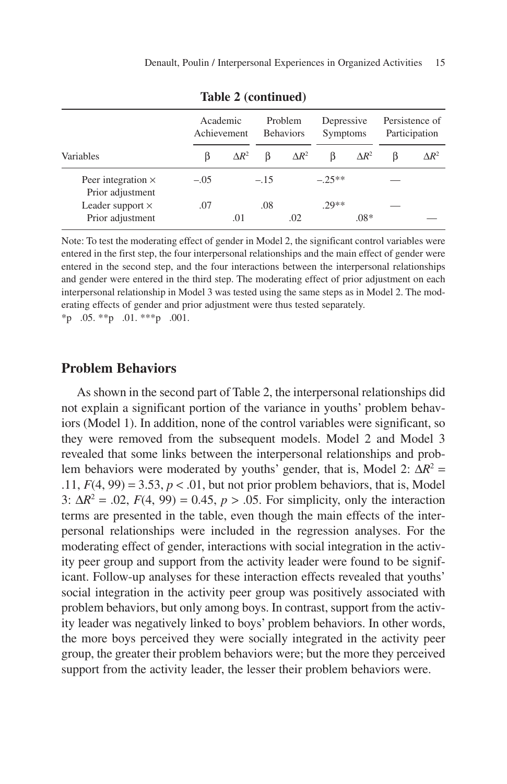|                                               |        | Academic<br>Achievement |        | Problem<br><b>Behaviors</b> | Depressive<br><b>Symptoms</b> |              | Persistence of<br>Participation |              |
|-----------------------------------------------|--------|-------------------------|--------|-----------------------------|-------------------------------|--------------|---------------------------------|--------------|
| Variables                                     | ß      | $\Delta R^2$            |        | $\Delta R^2$                | B                             | $\Delta R^2$ | ß                               | $\Delta R^2$ |
| Peer integration $\times$<br>Prior adjustment | $-.05$ |                         | $-.15$ |                             | $-25**$                       |              |                                 |              |
| Leader support $\times$                       | .07    |                         | .08    |                             | $29**$                        |              |                                 |              |
| Prior adjustment                              |        | .01                     |        | .02                         |                               | $.08*$       |                                 |              |

**Table 2 (continued)**

Note: To test the moderating effect of gender in Model 2, the significant control variables were entered in the first step, the four interpersonal relationships and the main effect of gender were entered in the second step, and the four interactions between the interpersonal relationships and gender were entered in the third step. The moderating effect of prior adjustment on each interpersonal relationship in Model 3 was tested using the same steps as in Model 2. The moderating effects of gender and prior adjustment were thus tested separately.  $*_{p}$  .05.  $*_{p}$  .01.  $*_{p}$  .001.

#### **Problem Behaviors**

As shown in the second part of Table 2, the interpersonal relationships did not explain a significant portion of the variance in youths' problem behaviors (Model 1). In addition, none of the control variables were significant, so they were removed from the subsequent models. Model 2 and Model 3 revealed that some links between the interpersonal relationships and problem behaviors were moderated by youths' gender, that is, Model 2:  $\Delta R^2$  = .11,  $F(4, 99) = 3.53$ ,  $p < .01$ , but not prior problem behaviors, that is, Model 3:  $\Delta R^2 = .02$ ,  $F(4, 99) = 0.45$ ,  $p > .05$ . For simplicity, only the interaction terms are presented in the table, even though the main effects of the interpersonal relationships were included in the regression analyses. For the moderating effect of gender, interactions with social integration in the activity peer group and support from the activity leader were found to be significant. Follow-up analyses for these interaction effects revealed that youths' social integration in the activity peer group was positively associated with problem behaviors, but only among boys. In contrast, support from the activity leader was negatively linked to boys' problem behaviors. In other words, the more boys perceived they were socially integrated in the activity peer group, the greater their problem behaviors were; but the more they perceived support from the activity leader, the lesser their problem behaviors were.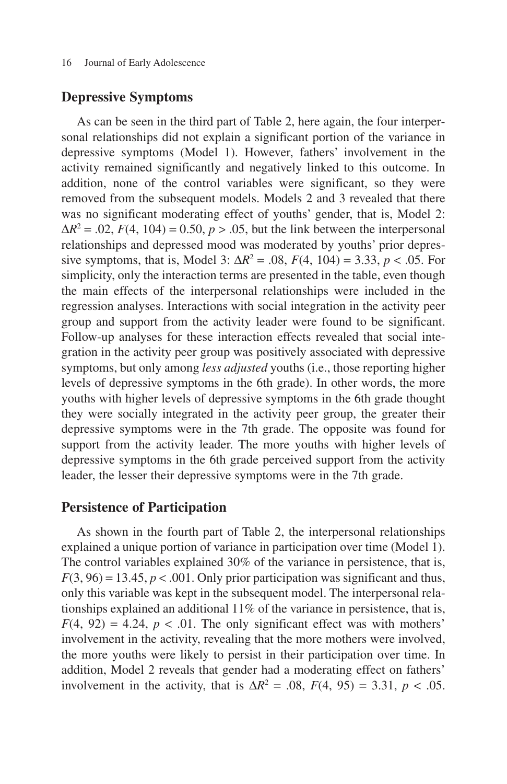#### **Depressive Symptoms**

As can be seen in the third part of Table 2, here again, the four interpersonal relationships did not explain a significant portion of the variance in depressive symptoms (Model 1). However, fathers' involvement in the activity remained significantly and negatively linked to this outcome. In addition, none of the control variables were significant, so they were removed from the subsequent models. Models 2 and 3 revealed that there was no significant moderating effect of youths' gender, that is, Model 2:  $\Delta R^2 = .02$ ,  $F(4, 104) = 0.50$ ,  $p > .05$ , but the link between the interpersonal relationships and depressed mood was moderated by youths' prior depressive symptoms, that is, Model 3:  $\Delta R^2 = .08$ ,  $F(4, 104) = 3.33$ ,  $p < .05$ . For simplicity, only the interaction terms are presented in the table, even though the main effects of the interpersonal relationships were included in the regression analyses. Interactions with social integration in the activity peer group and support from the activity leader were found to be significant. Follow-up analyses for these interaction effects revealed that social integration in the activity peer group was positively associated with depressive symptoms, but only among *less adjusted* youths (i.e., those reporting higher levels of depressive symptoms in the 6th grade). In other words, the more youths with higher levels of depressive symptoms in the 6th grade thought they were socially integrated in the activity peer group, the greater their depressive symptoms were in the 7th grade. The opposite was found for support from the activity leader. The more youths with higher levels of depressive symptoms in the 6th grade perceived support from the activity leader, the lesser their depressive symptoms were in the 7th grade.

#### **Persistence of Participation**

As shown in the fourth part of Table 2, the interpersonal relationships explained a unique portion of variance in participation over time (Model 1). The control variables explained 30% of the variance in persistence, that is,  $F(3, 96) = 13.45, p < .001$ . Only prior participation was significant and thus, only this variable was kept in the subsequent model. The interpersonal relationships explained an additional 11% of the variance in persistence, that is,  $F(4, 92) = 4.24$ ,  $p < .01$ . The only significant effect was with mothers' involvement in the activity, revealing that the more mothers were involved, the more youths were likely to persist in their participation over time. In addition, Model 2 reveals that gender had a moderating effect on fathers' involvement in the activity, that is  $\Delta R^2 = .08$ ,  $F(4, 95) = 3.31$ ,  $p < .05$ .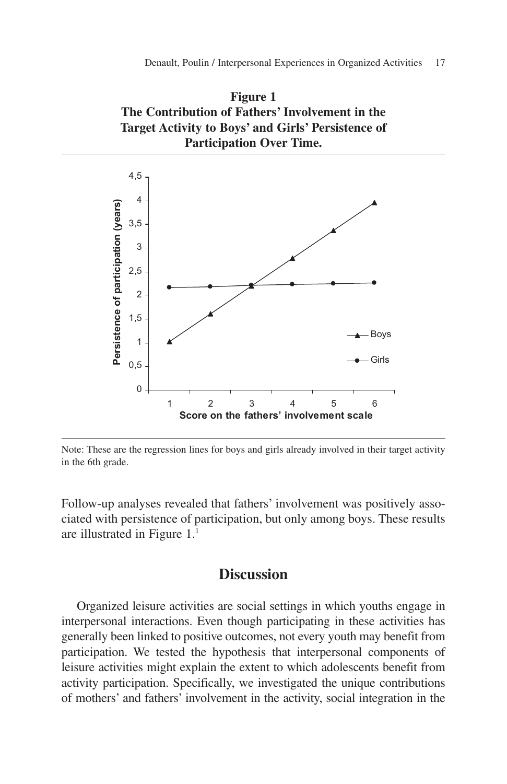



Note: These are the regression lines for boys and girls already involved in their target activity in the 6th grade.

Follow-up analyses revealed that fathers' involvement was positively associated with persistence of participation, but only among boys. These results are illustrated in Figure 1.1

# **Discussion**

Organized leisure activities are social settings in which youths engage in interpersonal interactions. Even though participating in these activities has generally been linked to positive outcomes, not every youth may benefit from participation. We tested the hypothesis that interpersonal components of leisure activities might explain the extent to which adolescents benefit from activity participation. Specifically, we investigated the unique contributions of mothers' and fathers' involvement in the activity, social integration in the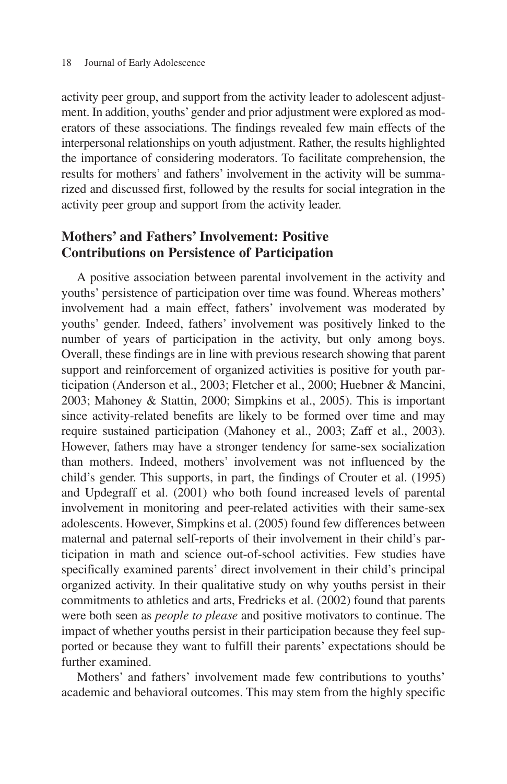activity peer group, and support from the activity leader to adolescent adjustment. In addition, youths'gender and prior adjustment were explored as moderators of these associations. The findings revealed few main effects of the interpersonal relationships on youth adjustment. Rather, the results highlighted the importance of considering moderators. To facilitate comprehension, the results for mothers' and fathers' involvement in the activity will be summarized and discussed first, followed by the results for social integration in the activity peer group and support from the activity leader.

# **Mothers' and Fathers' Involvement: Positive Contributions on Persistence of Participation**

A positive association between parental involvement in the activity and youths' persistence of participation over time was found. Whereas mothers' involvement had a main effect, fathers' involvement was moderated by youths' gender. Indeed, fathers' involvement was positively linked to the number of years of participation in the activity, but only among boys. Overall, these findings are in line with previous research showing that parent support and reinforcement of organized activities is positive for youth participation (Anderson et al., 2003; Fletcher et al., 2000; Huebner & Mancini, 2003; Mahoney & Stattin, 2000; Simpkins et al., 2005). This is important since activity-related benefits are likely to be formed over time and may require sustained participation (Mahoney et al., 2003; Zaff et al., 2003). However, fathers may have a stronger tendency for same-sex socialization than mothers. Indeed, mothers' involvement was not influenced by the child's gender. This supports, in part, the findings of Crouter et al. (1995) and Updegraff et al. (2001) who both found increased levels of parental involvement in monitoring and peer-related activities with their same-sex adolescents. However, Simpkins et al. (2005) found few differences between maternal and paternal self-reports of their involvement in their child's participation in math and science out-of-school activities. Few studies have specifically examined parents' direct involvement in their child's principal organized activity. In their qualitative study on why youths persist in their commitments to athletics and arts, Fredricks et al. (2002) found that parents were both seen as *people to please* and positive motivators to continue. The impact of whether youths persist in their participation because they feel supported or because they want to fulfill their parents' expectations should be further examined.

Mothers' and fathers' involvement made few contributions to youths' academic and behavioral outcomes. This may stem from the highly specific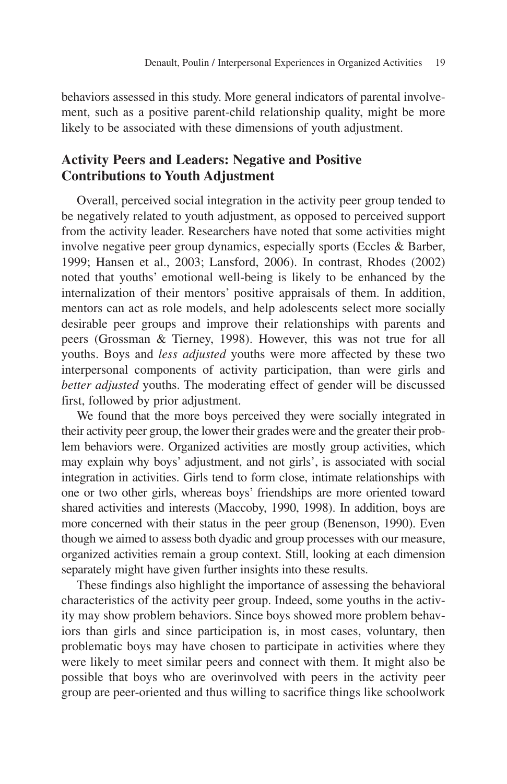behaviors assessed in this study. More general indicators of parental involvement, such as a positive parent-child relationship quality, might be more likely to be associated with these dimensions of youth adjustment.

# **Activity Peers and Leaders: Negative and Positive Contributions to Youth Adjustment**

Overall, perceived social integration in the activity peer group tended to be negatively related to youth adjustment, as opposed to perceived support from the activity leader. Researchers have noted that some activities might involve negative peer group dynamics, especially sports (Eccles & Barber, 1999; Hansen et al., 2003; Lansford, 2006). In contrast, Rhodes (2002) noted that youths' emotional well-being is likely to be enhanced by the internalization of their mentors' positive appraisals of them. In addition, mentors can act as role models, and help adolescents select more socially desirable peer groups and improve their relationships with parents and peers (Grossman & Tierney, 1998). However, this was not true for all youths. Boys and *less adjusted* youths were more affected by these two interpersonal components of activity participation, than were girls and *better adjusted* youths. The moderating effect of gender will be discussed first, followed by prior adjustment.

We found that the more boys perceived they were socially integrated in their activity peer group, the lower their grades were and the greater their problem behaviors were. Organized activities are mostly group activities, which may explain why boys' adjustment, and not girls', is associated with social integration in activities. Girls tend to form close, intimate relationships with one or two other girls, whereas boys' friendships are more oriented toward shared activities and interests (Maccoby, 1990, 1998). In addition, boys are more concerned with their status in the peer group (Benenson, 1990). Even though we aimed to assess both dyadic and group processes with our measure, organized activities remain a group context. Still, looking at each dimension separately might have given further insights into these results.

These findings also highlight the importance of assessing the behavioral characteristics of the activity peer group. Indeed, some youths in the activity may show problem behaviors. Since boys showed more problem behaviors than girls and since participation is, in most cases, voluntary, then problematic boys may have chosen to participate in activities where they were likely to meet similar peers and connect with them. It might also be possible that boys who are overinvolved with peers in the activity peer group are peer-oriented and thus willing to sacrifice things like schoolwork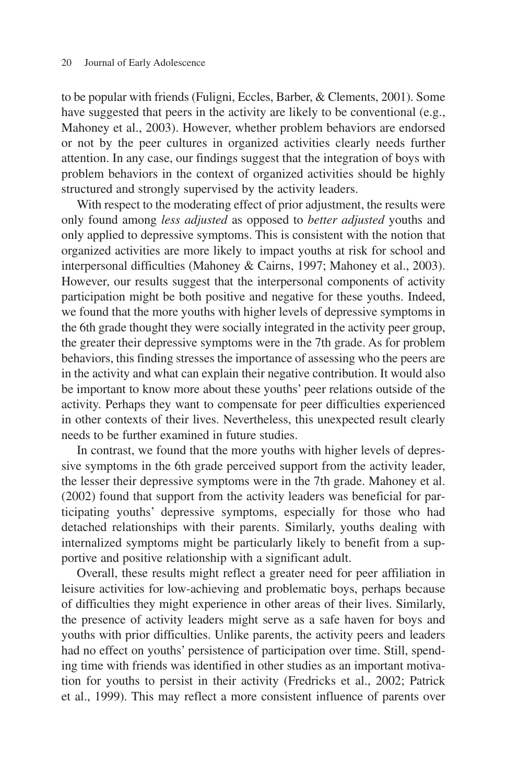to be popular with friends (Fuligni, Eccles, Barber, & Clements, 2001). Some have suggested that peers in the activity are likely to be conventional (e.g., Mahoney et al., 2003). However, whether problem behaviors are endorsed or not by the peer cultures in organized activities clearly needs further attention. In any case, our findings suggest that the integration of boys with problem behaviors in the context of organized activities should be highly structured and strongly supervised by the activity leaders.

With respect to the moderating effect of prior adjustment, the results were only found among *less adjusted* as opposed to *better adjusted* youths and only applied to depressive symptoms. This is consistent with the notion that organized activities are more likely to impact youths at risk for school and interpersonal difficulties (Mahoney & Cairns, 1997; Mahoney et al., 2003). However, our results suggest that the interpersonal components of activity participation might be both positive and negative for these youths. Indeed, we found that the more youths with higher levels of depressive symptoms in the 6th grade thought they were socially integrated in the activity peer group, the greater their depressive symptoms were in the 7th grade. As for problem behaviors, this finding stresses the importance of assessing who the peers are in the activity and what can explain their negative contribution. It would also be important to know more about these youths' peer relations outside of the activity. Perhaps they want to compensate for peer difficulties experienced in other contexts of their lives. Nevertheless, this unexpected result clearly needs to be further examined in future studies.

In contrast, we found that the more youths with higher levels of depressive symptoms in the 6th grade perceived support from the activity leader, the lesser their depressive symptoms were in the 7th grade. Mahoney et al. (2002) found that support from the activity leaders was beneficial for participating youths' depressive symptoms, especially for those who had detached relationships with their parents. Similarly, youths dealing with internalized symptoms might be particularly likely to benefit from a supportive and positive relationship with a significant adult.

Overall, these results might reflect a greater need for peer affiliation in leisure activities for low-achieving and problematic boys, perhaps because of difficulties they might experience in other areas of their lives. Similarly, the presence of activity leaders might serve as a safe haven for boys and youths with prior difficulties. Unlike parents, the activity peers and leaders had no effect on youths' persistence of participation over time. Still, spending time with friends was identified in other studies as an important motivation for youths to persist in their activity (Fredricks et al., 2002; Patrick et al., 1999). This may reflect a more consistent influence of parents over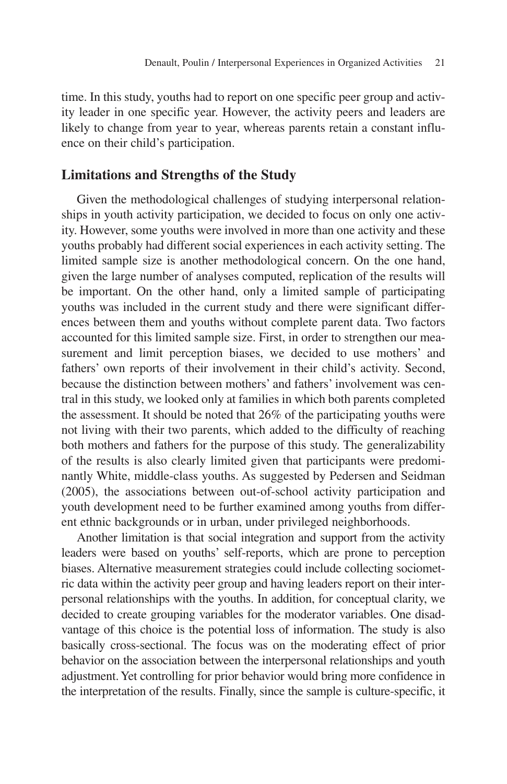time. In this study, youths had to report on one specific peer group and activity leader in one specific year. However, the activity peers and leaders are likely to change from year to year, whereas parents retain a constant influence on their child's participation.

#### **Limitations and Strengths of the Study**

Given the methodological challenges of studying interpersonal relationships in youth activity participation, we decided to focus on only one activity. However, some youths were involved in more than one activity and these youths probably had different social experiences in each activity setting. The limited sample size is another methodological concern. On the one hand, given the large number of analyses computed, replication of the results will be important. On the other hand, only a limited sample of participating youths was included in the current study and there were significant differences between them and youths without complete parent data. Two factors accounted for this limited sample size. First, in order to strengthen our measurement and limit perception biases, we decided to use mothers' and fathers' own reports of their involvement in their child's activity. Second, because the distinction between mothers' and fathers' involvement was central in this study, we looked only at families in which both parents completed the assessment. It should be noted that 26% of the participating youths were not living with their two parents, which added to the difficulty of reaching both mothers and fathers for the purpose of this study. The generalizability of the results is also clearly limited given that participants were predominantly White, middle-class youths. As suggested by Pedersen and Seidman (2005), the associations between out-of-school activity participation and youth development need to be further examined among youths from different ethnic backgrounds or in urban, under privileged neighborhoods.

Another limitation is that social integration and support from the activity leaders were based on youths' self-reports, which are prone to perception biases. Alternative measurement strategies could include collecting sociometric data within the activity peer group and having leaders report on their interpersonal relationships with the youths. In addition, for conceptual clarity, we decided to create grouping variables for the moderator variables. One disadvantage of this choice is the potential loss of information. The study is also basically cross-sectional. The focus was on the moderating effect of prior behavior on the association between the interpersonal relationships and youth adjustment. Yet controlling for prior behavior would bring more confidence in the interpretation of the results. Finally, since the sample is culture-specific, it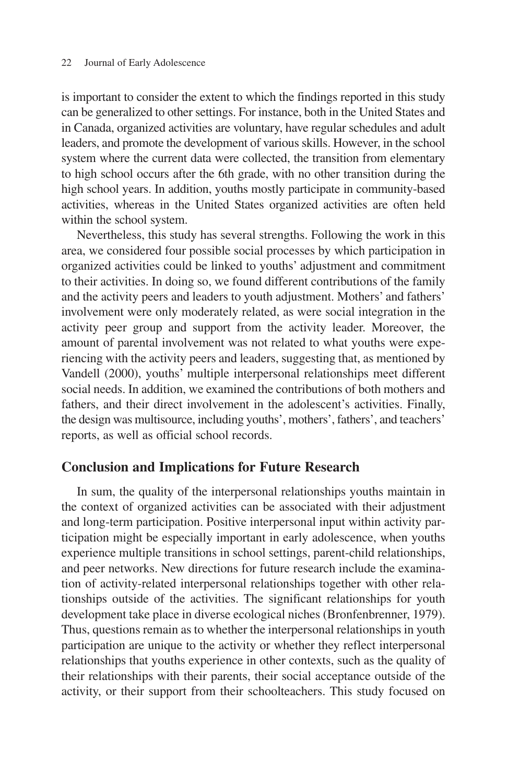is important to consider the extent to which the findings reported in this study can be generalized to other settings. For instance, both in the United States and in Canada, organized activities are voluntary, have regular schedules and adult leaders, and promote the development of various skills. However, in the school system where the current data were collected, the transition from elementary to high school occurs after the 6th grade, with no other transition during the high school years. In addition, youths mostly participate in community-based activities, whereas in the United States organized activities are often held within the school system.

Nevertheless, this study has several strengths. Following the work in this area, we considered four possible social processes by which participation in organized activities could be linked to youths' adjustment and commitment to their activities. In doing so, we found different contributions of the family and the activity peers and leaders to youth adjustment. Mothers' and fathers' involvement were only moderately related, as were social integration in the activity peer group and support from the activity leader. Moreover, the amount of parental involvement was not related to what youths were experiencing with the activity peers and leaders, suggesting that, as mentioned by Vandell (2000), youths' multiple interpersonal relationships meet different social needs. In addition, we examined the contributions of both mothers and fathers, and their direct involvement in the adolescent's activities. Finally, the design was multisource, including youths', mothers', fathers', and teachers' reports, as well as official school records.

#### **Conclusion and Implications for Future Research**

In sum, the quality of the interpersonal relationships youths maintain in the context of organized activities can be associated with their adjustment and long-term participation. Positive interpersonal input within activity participation might be especially important in early adolescence, when youths experience multiple transitions in school settings, parent-child relationships, and peer networks. New directions for future research include the examination of activity-related interpersonal relationships together with other relationships outside of the activities. The significant relationships for youth development take place in diverse ecological niches (Bronfenbrenner, 1979). Thus, questions remain as to whether the interpersonal relationships in youth participation are unique to the activity or whether they reflect interpersonal relationships that youths experience in other contexts, such as the quality of their relationships with their parents, their social acceptance outside of the activity, or their support from their schoolteachers. This study focused on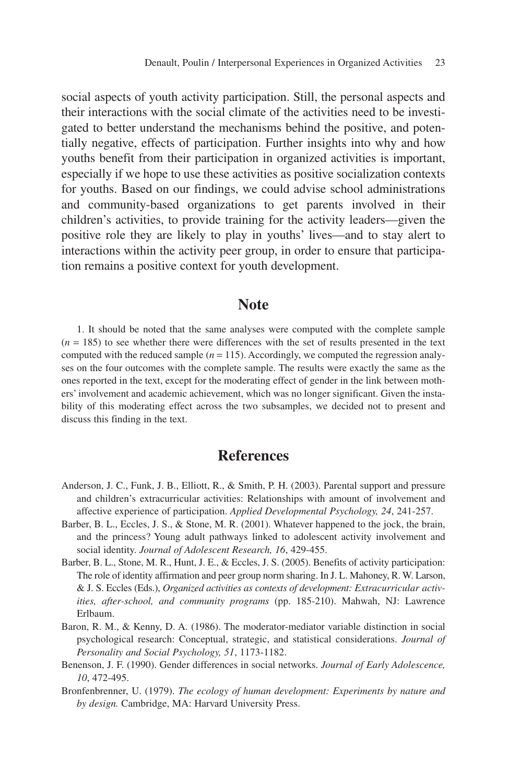social aspects of youth activity participation. Still, the personal aspects and their interactions with the social climate of the activities need to be investigated to better understand the mechanisms behind the positive, and potentially negative, effects of participation. Further insights into why and how youths benefit from their participation in organized activities is important, especially if we hope to use these activities as positive socialization contexts for youths. Based on our findings, we could advise school administrations and community-based organizations to get parents involved in their children's activities, to provide training for the activity leaders—given the positive role they are likely to play in youths' lives—and to stay alert to interactions within the activity peer group, in order to ensure that participation remains a positive context for youth development.

### **Note**

1. It should be noted that the same analyses were computed with the complete sample  $(n = 185)$  to see whether there were differences with the set of results presented in the text computed with the reduced sample  $(n = 115)$ . Accordingly, we computed the regression analyses on the four outcomes with the complete sample. The results were exactly the same as the ones reported in the text, except for the moderating effect of gender in the link between mothers' involvement and academic achievement, which was no longer significant. Given the instability of this moderating effect across the two subsamples, we decided not to present and discuss this finding in the text.

# **References**

- Anderson, J. C., Funk, J. B., Elliott, R., & Smith, P. H. (2003). Parental support and pressure and children's extracurricular activities: Relationships with amount of involvement and affective experience of participation. *Applied Developmental Psychology, 24*, 241-257.
- Barber, B. L., Eccles, J. S., & Stone, M. R. (2001). Whatever happened to the jock, the brain, and the princess? Young adult pathways linked to adolescent activity involvement and social identity. *Journal of Adolescent Research, 16*, 429-455.
- Barber, B. L., Stone, M. R., Hunt, J. E., & Eccles, J. S. (2005). Benefits of activity participation: The role of identity affirmation and peer group norm sharing. In J. L. Mahoney, R. W. Larson, & J. S. Eccles (Eds.), *Organized activities as contexts of development: Extracurricular activities, after-school, and community programs* (pp. 185-210). Mahwah, NJ: Lawrence Erlbaum.
- Baron, R. M., & Kenny, D. A. (1986). The moderator-mediator variable distinction in social psychological research: Conceptual, strategic, and statistical considerations. *Journal of Personality and Social Psychology, 51*, 1173-1182.
- Benenson, J. F. (1990). Gender differences in social networks. *Journal of Early Adolescence, 10*, 472-495.
- Bronfenbrenner, U. (1979). *The ecology of human development: Experiments by nature and by design.* Cambridge, MA: Harvard University Press.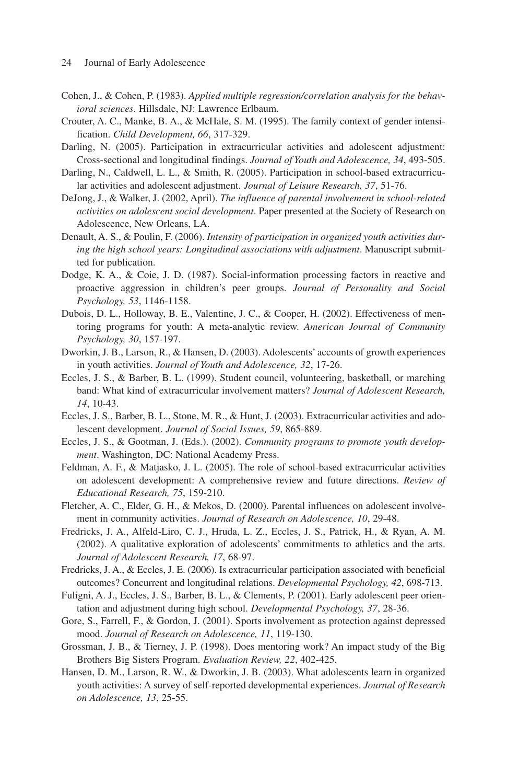- Cohen, J., & Cohen, P. (1983). *Applied multiple regression/correlation analysis for the behavioral sciences*. Hillsdale, NJ: Lawrence Erlbaum.
- Crouter, A. C., Manke, B. A., & McHale, S. M. (1995). The family context of gender intensification. *Child Development, 66*, 317-329.
- Darling, N. (2005). Participation in extracurricular activities and adolescent adjustment: Cross-sectional and longitudinal findings. *Journal of Youth and Adolescence, 34*, 493-505.
- Darling, N., Caldwell, L. L., & Smith, R. (2005). Participation in school-based extracurricular activities and adolescent adjustment. *Journal of Leisure Research, 37*, 51-76.
- DeJong, J., & Walker, J. (2002, April). *The influence of parental involvement in school-related activities on adolescent social development*. Paper presented at the Society of Research on Adolescence, New Orleans, LA.
- Denault, A. S., & Poulin, F. (2006). *Intensity of participation in organized youth activities during the high school years: Longitudinal associations with adjustment*. Manuscript submitted for publication.
- Dodge, K. A., & Coie, J. D. (1987). Social-information processing factors in reactive and proactive aggression in children's peer groups. *Journal of Personality and Social Psychology, 53*, 1146-1158.
- Dubois, D. L., Holloway, B. E., Valentine, J. C., & Cooper, H. (2002). Effectiveness of mentoring programs for youth: A meta-analytic review. *American Journal of Community Psychology, 30*, 157-197.
- Dworkin, J. B., Larson, R., & Hansen, D. (2003). Adolescents' accounts of growth experiences in youth activities. *Journal of Youth and Adolescence, 32*, 17-26.
- Eccles, J. S., & Barber, B. L. (1999). Student council, volunteering, basketball, or marching band: What kind of extracurricular involvement matters? *Journal of Adolescent Research, 14*, 10-43.
- Eccles, J. S., Barber, B. L., Stone, M. R., & Hunt, J. (2003). Extracurricular activities and adolescent development. *Journal of Social Issues, 59*, 865-889.
- Eccles, J. S., & Gootman, J. (Eds.). (2002). *Community programs to promote youth development*. Washington, DC: National Academy Press.
- Feldman, A. F., & Matjasko, J. L. (2005). The role of school-based extracurricular activities on adolescent development: A comprehensive review and future directions. *Review of Educational Research, 75*, 159-210.
- Fletcher, A. C., Elder, G. H., & Mekos, D. (2000). Parental influences on adolescent involvement in community activities. *Journal of Research on Adolescence, 10*, 29-48.
- Fredricks, J. A., Alfeld-Liro, C. J., Hruda, L. Z., Eccles, J. S., Patrick, H., & Ryan, A. M. (2002). A qualitative exploration of adolescents' commitments to athletics and the arts. *Journal of Adolescent Research, 17*, 68-97.
- Fredricks, J. A., & Eccles, J. E. (2006). Is extracurricular participation associated with beneficial outcomes? Concurrent and longitudinal relations. *Developmental Psychology, 42*, 698-713.
- Fuligni, A. J., Eccles, J. S., Barber, B. L., & Clements, P. (2001). Early adolescent peer orientation and adjustment during high school. *Developmental Psychology, 37*, 28-36.
- Gore, S., Farrell, F., & Gordon, J. (2001). Sports involvement as protection against depressed mood. *Journal of Research on Adolescence, 11*, 119-130.
- Grossman, J. B., & Tierney, J. P. (1998). Does mentoring work? An impact study of the Big Brothers Big Sisters Program. *Evaluation Review, 22*, 402-425.
- Hansen, D. M., Larson, R. W., & Dworkin, J. B. (2003). What adolescents learn in organized youth activities: A survey of self-reported developmental experiences. *Journal of Research on Adolescence, 13*, 25-55.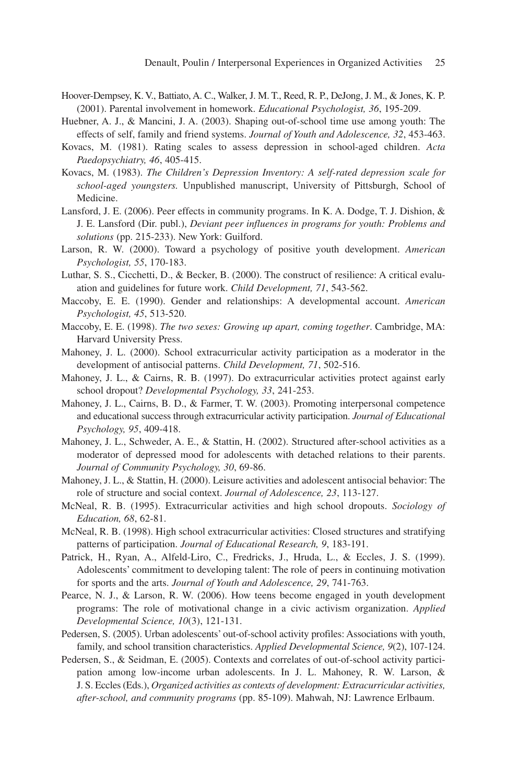- Hoover-Dempsey, K. V., Battiato, A. C., Walker, J. M. T., Reed, R. P., DeJong, J. M., & Jones, K. P. (2001). Parental involvement in homework. *Educational Psychologist, 36*, 195-209.
- Huebner, A. J., & Mancini, J. A. (2003). Shaping out-of-school time use among youth: The effects of self, family and friend systems. *Journal of Youth and Adolescence, 32*, 453-463.
- Kovacs, M. (1981). Rating scales to assess depression in school-aged children. *Acta Paedopsychiatry, 46*, 405-415.
- Kovacs, M. (1983). *The Children's Depression Inventory: A self-rated depression scale for school-aged youngsters.* Unpublished manuscript, University of Pittsburgh, School of Medicine.
- Lansford, J. E. (2006). Peer effects in community programs. In K. A. Dodge, T. J. Dishion, & J. E. Lansford (Dir. publ.), *Deviant peer influences in programs for youth: Problems and solutions* (pp. 215-233). New York: Guilford.
- Larson, R. W. (2000). Toward a psychology of positive youth development. *American Psychologist, 55*, 170-183.
- Luthar, S. S., Cicchetti, D., & Becker, B. (2000). The construct of resilience: A critical evaluation and guidelines for future work. *Child Development, 71*, 543-562.
- Maccoby, E. E. (1990). Gender and relationships: A developmental account. *American Psychologist, 45*, 513-520.
- Maccoby, E. E. (1998). *The two sexes: Growing up apart, coming together*. Cambridge, MA: Harvard University Press.
- Mahoney, J. L. (2000). School extracurricular activity participation as a moderator in the development of antisocial patterns. *Child Development, 71*, 502-516.
- Mahoney, J. L., & Cairns, R. B. (1997). Do extracurricular activities protect against early school dropout? *Developmental Psychology, 33*, 241-253.
- Mahoney, J. L., Cairns, B. D., & Farmer, T. W. (2003). Promoting interpersonal competence and educational success through extracurricular activity participation. *Journal of Educational Psychology, 95*, 409-418.
- Mahoney, J. L., Schweder, A. E., & Stattin, H. (2002). Structured after-school activities as a moderator of depressed mood for adolescents with detached relations to their parents. *Journal of Community Psychology, 30*, 69-86.
- Mahoney, J. L., & Stattin, H. (2000). Leisure activities and adolescent antisocial behavior: The role of structure and social context. *Journal of Adolescence, 23*, 113-127.
- McNeal, R. B. (1995). Extracurricular activities and high school dropouts. *Sociology of Education, 68*, 62-81.
- McNeal, R. B. (1998). High school extracurricular activities: Closed structures and stratifying patterns of participation. *Journal of Educational Research, 9*, 183-191.
- Patrick, H., Ryan, A., Alfeld-Liro, C., Fredricks, J., Hruda, L., & Eccles, J. S. (1999). Adolescents' commitment to developing talent: The role of peers in continuing motivation for sports and the arts. *Journal of Youth and Adolescence, 29*, 741-763.
- Pearce, N. J., & Larson, R. W. (2006). How teens become engaged in youth development programs: The role of motivational change in a civic activism organization. *Applied Developmental Science, 10*(3), 121-131.
- Pedersen, S. (2005). Urban adolescents' out-of-school activity profiles: Associations with youth, family, and school transition characteristics. *Applied Developmental Science, 9*(2), 107-124.
- Pedersen, S., & Seidman, E. (2005). Contexts and correlates of out-of-school activity participation among low-income urban adolescents. In J. L. Mahoney, R. W. Larson, & J. S. Eccles (Eds.), *Organized activities as contexts of development: Extracurricular activities, after-school, and community programs* (pp. 85-109). Mahwah, NJ: Lawrence Erlbaum.